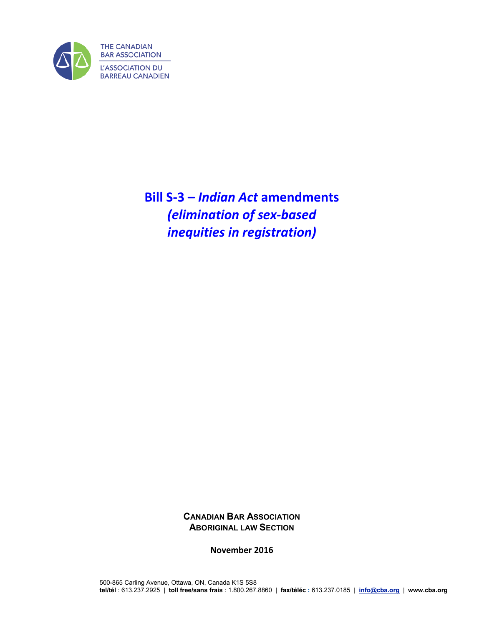

**Bill S-3 –** *Indian Act* **amendments**  *(elimination of sex-based inequities in registration)*

> **CANADIAN BAR ASSOCIATION ABORIGINAL LAW SECTION**

> > **November 2016**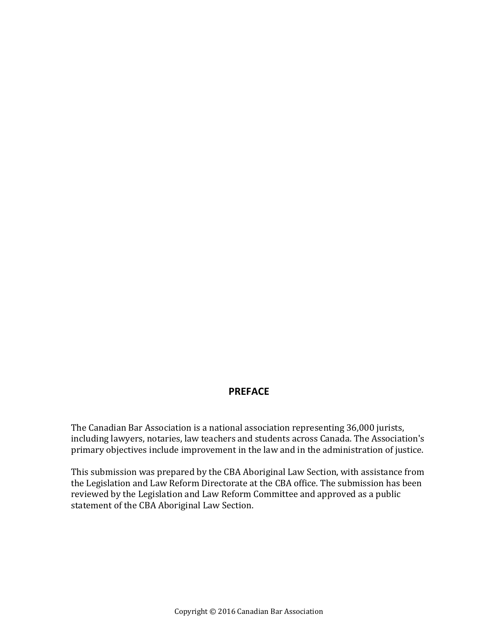## **PREFACE**

The Canadian Bar Association is a national association representing 36,000 jurists, including lawyers, notaries, law teachers and students across Canada. The Association's primary objectives include improvement in the law and in the administration of justice.

This submission was prepared by the CBA Aboriginal Law Section, with assistance from the Legislation and Law Reform Directorate at the CBA office. The submission has been reviewed by the Legislation and Law Reform Committee and approved as a public statement of the CBA Aboriginal Law Section.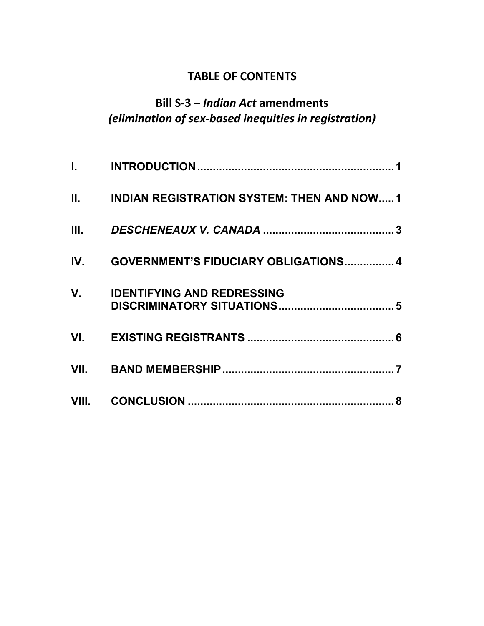## **TABLE OF CONTENTS**

## **Bill S-3 –** *Indian Act* **amendments** *(elimination of sex-based inequities in registration)*

|     | II. INDIAN REGISTRATION SYSTEM: THEN AND NOW1 |
|-----|-----------------------------------------------|
|     |                                               |
| IV. | <b>GOVERNMENT'S FIDUCIARY OBLIGATIONS 4</b>   |
|     | V. IDENTIFYING AND REDRESSING                 |
|     |                                               |
|     |                                               |
|     |                                               |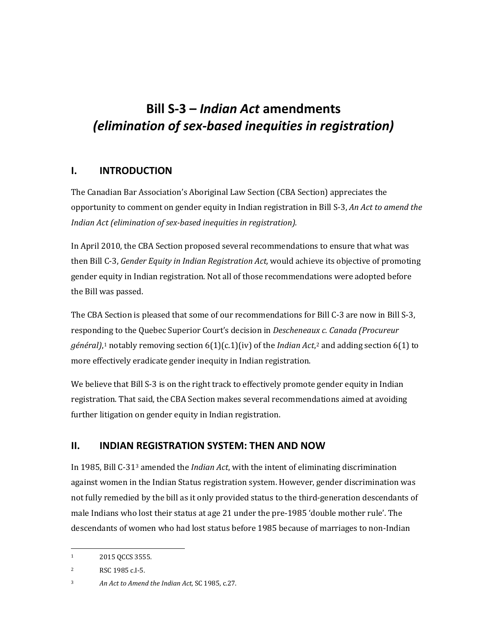# **Bill S-3 –** *Indian Act* **amendments** *(elimination of sex-based inequities in registration)*

## <span id="page-4-0"></span>**I. INTRODUCTION**

The Canadian Bar Association's Aboriginal Law Section (CBA Section) appreciates the opportunity to comment on gender equity in Indian registration in Bill S-3, *An Act to amend the Indian Act (elimination of sex-based inequities in registration).*

In April 2010, the CBA Section proposed several recommendations to ensure that what was then Bill C-3, *Gender Equity in Indian Registration Act,* would achieve its objective of promoting gender equity in Indian registration. Not all of those recommendations were adopted before the Bill was passed.

The CBA Section is pleased that some of our recommendations for Bill C-3 are now in Bill S-3, responding to the Quebec Superior Court's decision in *Descheneaux c. Canada (Procureur général)*,[1](#page-4-2) notably removing section 6(1)(c.1)(iv) of the *Indian Act*,[2](#page-4-3) and adding section 6(1) to more effectively eradicate gender inequity in Indian registration.

We believe that Bill S-3 is on the right track to effectively promote gender equity in Indian registration. That said, the CBA Section makes several recommendations aimed at avoiding further litigation on gender equity in Indian registration.

## <span id="page-4-1"></span>**II. INDIAN REGISTRATION SYSTEM: THEN AND NOW**

In 1985, Bill C-31[3](#page-4-4) amended the *Indian Act*, with the intent of eliminating discrimination against women in the Indian Status registration system. However, gender discrimination was not fully remedied by the bill as it only provided status to the third-generation descendants of male Indians who lost their status at age 21 under the pre-1985 'double mother rule'. The descendants of women who had lost status before 1985 because of marriages to non-Indian

<span id="page-4-2"></span> $\mathbf{1}$ 2015 QCCS 3555.

<span id="page-4-3"></span><sup>2</sup> RSC 1985 c.I-5.

<span id="page-4-4"></span><sup>3</sup> *An Act to Amend the Indian Act*, SC 1985, c.27.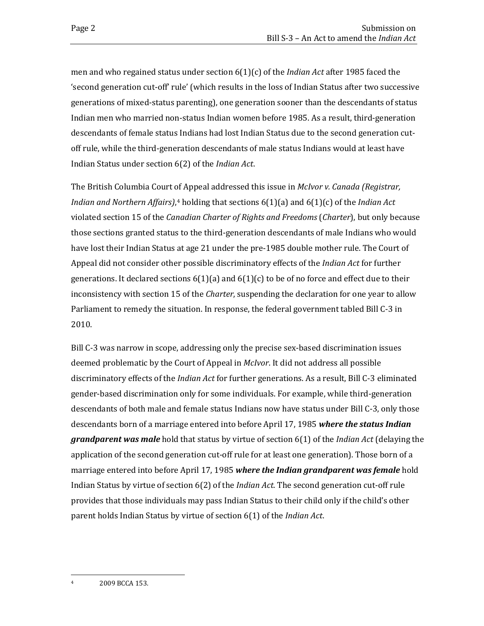men and who regained status under section 6(1)(c) of the *Indian Act* after 1985 faced the 'second generation cut-off' rule' (which results in the loss of Indian Status after two successive generations of mixed-status parenting), one generation sooner than the descendants of status Indian men who married non-status Indian women before 1985. As a result, third-generation descendants of female status Indians had lost Indian Status due to the second generation cutoff rule, while the third-generation descendants of male status Indians would at least have Indian Status under section 6(2) of the *Indian Act*.

The British Columbia Court of Appeal addressed this issue in *McIvor v. Canada (Registrar, Indian and Northern Affairs)*,[4](#page-5-0) holding that sections 6(1)(a) and 6(1)(c) of the *Indian Act* violated section 15 of the *Canadian Charter of Rights and Freedoms* (*Charter*), but only because those sections granted status to the third-generation descendants of male Indians who would have lost their Indian Status at age 21 under the pre-1985 double mother rule. The Court of Appeal did not consider other possible discriminatory effects of the *Indian Act* for further generations. It declared sections  $6(1)(a)$  and  $6(1)(c)$  to be of no force and effect due to their inconsistency with section 15 of the *Charter*, suspending the declaration for one year to allow Parliament to remedy the situation. In response, the federal government tabled Bill C-3 in 2010.

Bill C-3 was narrow in scope, addressing only the precise sex-based discrimination issues deemed problematic by the Court of Appeal in *McIvor*. It did not address all possible discriminatory effects of the *Indian Act* for further generations. As a result, Bill C-3 eliminated gender-based discrimination only for some individuals. For example, while third-generation descendants of both male and female status Indians now have status under Bill C-3, only those descendants born of a marriage entered into before April 17, 1985 *where the status Indian grandparent was male* hold that status by virtue of section 6(1) of the *Indian Act* (delaying the application of the second generation cut-off rule for at least one generation). Those born of a marriage entered into before April 17, 1985 *where the Indian grandparent was female* hold Indian Status by virtue of section 6(2) of the *Indian Act*. The second generation cut-off rule provides that those individuals may pass Indian Status to their child only if the child's other parent holds Indian Status by virtue of section 6(1) of the *Indian Act*.

<span id="page-5-0"></span> $\overline{4}$ 2009 BCCA 153.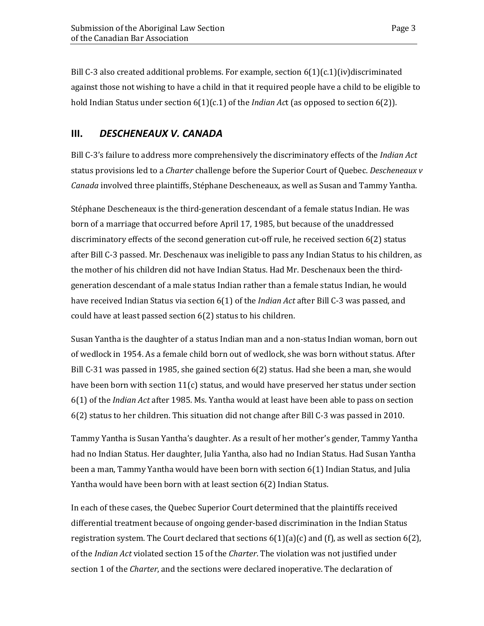Bill C-3 also created additional problems. For example, section 6(1)(c.1)(iv)discriminated against those not wishing to have a child in that it required people have a child to be eligible to hold Indian Status under section 6(1)(c.1) of the *Indian Ac*t (as opposed to section 6(2)).

## <span id="page-6-0"></span>**III.** *DESCHENEAUX V. CANADA*

Bill C-3's failure to address more comprehensively the discriminatory effects of the *Indian Act* status provisions led to a *Charter* challenge before the Superior Court of Quebec. *Descheneaux v Canada* involved three plaintiffs, Stéphane Descheneaux, as well as Susan and Tammy Yantha.

Stéphane Descheneaux is the third-generation descendant of a female status Indian. He was born of a marriage that occurred before April 17, 1985, but because of the unaddressed discriminatory effects of the second generation cut-off rule, he received section 6(2) status after Bill C-3 passed. Mr. Deschenaux was ineligible to pass any Indian Status to his children, as the mother of his children did not have Indian Status. Had Mr. Deschenaux been the thirdgeneration descendant of a male status Indian rather than a female status Indian, he would have received Indian Status via section 6(1) of the *Indian Act* after Bill C-3 was passed, and could have at least passed section 6(2) status to his children.

Susan Yantha is the daughter of a status Indian man and a non-status Indian woman, born out of wedlock in 1954. As a female child born out of wedlock, she was born without status. After Bill C-31 was passed in 1985, she gained section 6(2) status. Had she been a man, she would have been born with section  $11(c)$  status, and would have preserved her status under section 6(1) of the *Indian Act* after 1985. Ms. Yantha would at least have been able to pass on section 6(2) status to her children. This situation did not change after Bill C-3 was passed in 2010.

Tammy Yantha is Susan Yantha's daughter. As a result of her mother's gender, Tammy Yantha had no Indian Status. Her daughter, Julia Yantha, also had no Indian Status. Had Susan Yantha been a man, Tammy Yantha would have been born with section 6(1) Indian Status, and Julia Yantha would have been born with at least section 6(2) Indian Status.

In each of these cases, the Quebec Superior Court determined that the plaintiffs received differential treatment because of ongoing gender-based discrimination in the Indian Status registration system. The Court declared that sections  $6(1)(a)(c)$  and  $(f)$ , as well as section  $6(2)$ , of the *Indian Act* violated section 15 of the *Charter*. The violation was not justified under section 1 of the *Charter*, and the sections were declared inoperative. The declaration of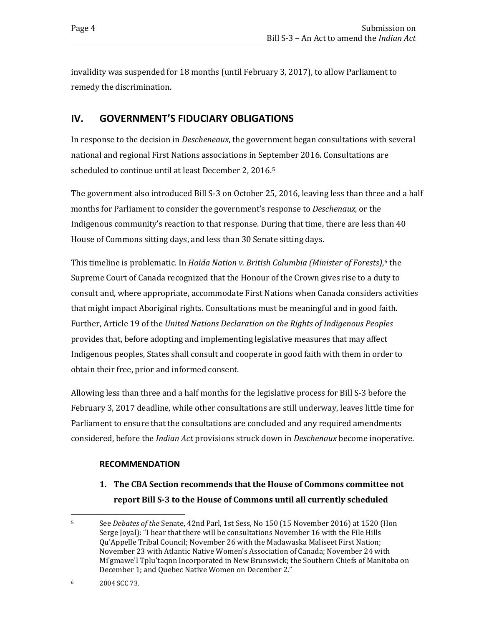invalidity was suspended for 18 months (until February 3, 2017), to allow Parliament to remedy the discrimination.

## <span id="page-7-0"></span>**IV. GOVERNMENT'S FIDUCIARY OBLIGATIONS**

In response to the decision in *Descheneaux*, the government began consultations with several national and regional First Nations associations in September 2016. Consultations are scheduled to continue until at least December 2, 2016.[5](#page-7-1)

The government also introduced Bill S-3 on October 25, 2016, leaving less than three and a half months for Parliament to consider the government's response to *Deschenaux*, or the Indigenous community's reaction to that response. During that time, there are less than 40 House of Commons sitting days, and less than 30 Senate sitting days.

This timeline is problematic. In *Haida Nation v. British Columbia (Minister of Forests)*,[6](#page-7-2) the Supreme Court of Canada recognized that the Honour of the Crown gives rise to a duty to consult and, where appropriate, accommodate First Nations when Canada considers activities that might impact Aboriginal rights. Consultations must be meaningful and in good faith. Further, Article 19 of the *United Nations Declaration on the Rights of Indigenous Peoples* provides that, before adopting and implementing legislative measures that may affect Indigenous peoples, States shall consult and cooperate in good faith with them in order to obtain their free, prior and informed consent.

Allowing less than three and a half months for the legislative process for Bill S-3 before the February 3, 2017 deadline, while other consultations are still underway, leaves little time for Parliament to ensure that the consultations are concluded and any required amendments considered, before the *Indian Act* provisions struck down in *Deschenaux* become inoperative.

#### **RECOMMENDATION**

**1. The CBA Section recommends that the House of Commons committee not report Bill S-3 to the House of Commons until all currently scheduled** 

<span id="page-7-1"></span> $\overline{5}$ <sup>5</sup> See *Debates of the* Senate, 42nd Parl, 1st Sess, No 150 (15 November 2016) at 1520 (Hon Serge Joyal): "I hear that there will be consultations November 16 with the File Hills Qu'Appelle Tribal Council; November 26 with the Madawaska Maliseet First Nation; November 23 with Atlantic Native Women's Association of Canada; November 24 with Mi'gmawe'l Tplu'taqnn Incorporated in New Brunswick; the Southern Chiefs of Manitoba on December 1; and Quebec Native Women on December 2."

<span id="page-7-2"></span><sup>6</sup> 2004 SCC 73.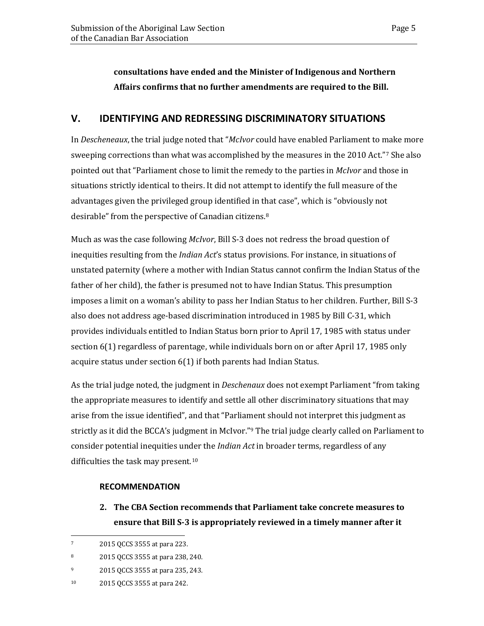**consultations have ended and the Minister of Indigenous and Northern Affairs confirms that no further amendments are required to the Bill.** 

## <span id="page-8-0"></span>**V. IDENTIFYING AND REDRESSING DISCRIMINATORY SITUATIONS**

In *Descheneaux*, the trial judge noted that "*McIvor* could have enabled Parliament to make more sweeping corrections than what was accomplished by the measures in the 2010 Act."[7](#page-8-1) She also pointed out that "Parliament chose to limit the remedy to the parties in *McIvor* and those in situations strictly identical to theirs. It did not attempt to identify the full measure of the advantages given the privileged group identified in that case", which is "obviously not desirable" from the perspective of Canadian citizens.[8](#page-8-2)

Much as was the case following *McIvor*, Bill S-3 does not redress the broad question of inequities resulting from the *Indian Act*'s status provisions. For instance, in situations of unstated paternity (where a mother with Indian Status cannot confirm the Indian Status of the father of her child), the father is presumed not to have Indian Status. This presumption imposes a limit on a woman's ability to pass her Indian Status to her children. Further, Bill S-3 also does not address age-based discrimination introduced in 1985 by Bill C-31, which provides individuals entitled to Indian Status born prior to April 17, 1985 with status under section 6(1) regardless of parentage, while individuals born on or after April 17, 1985 only acquire status under section 6(1) if both parents had Indian Status.

As the trial judge noted, the judgment in *Deschenaux* does not exempt Parliament "from taking the appropriate measures to identify and settle all other discriminatory situations that may arise from the issue identified", and that "Parliament should not interpret this judgment as strictly as it did the BCCA's judgment in McIvor."<sup>[9](#page-8-3)</sup> The trial judge clearly called on Parliament to consider potential inequities under the *Indian Act* in broader terms, regardless of any difficulties the task may present.[10](#page-8-4)

#### **RECOMMENDATION**

**2. The CBA Section recommends that Parliament take concrete measures to ensure that Bill S-3 is appropriately reviewed in a timely manner after it** 

<span id="page-8-1"></span> $\overline{7}$ <sup>7</sup> 2015 QCCS 3555 at para 223.

<span id="page-8-2"></span><sup>8</sup> 2015 QCCS 3555 at para 238, 240.

<span id="page-8-3"></span><sup>9</sup> 2015 QCCS 3555 at para 235, 243.

<span id="page-8-4"></span><sup>10</sup> 2015 QCCS 3555 at para 242.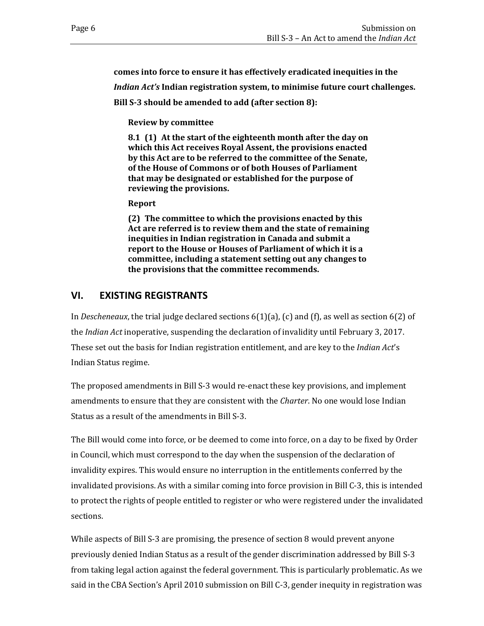**comes into force to ensure it has effectively eradicated inequities in the** 

*Indian Act's* **Indian registration system, to minimise future court challenges.** 

**Bill S-3 should be amended to add (after section 8):** 

**Review by committee**

**8.1 (1) At the start of the eighteenth month after the day on which this Act receives Royal Assent, the provisions enacted by this Act are to be referred to the committee of the Senate, of the House of Commons or of both Houses of Parliament that may be designated or established for the purpose of reviewing the provisions.**

**Report**

**(2) The committee to which the provisions enacted by this Act are referred is to review them and the state of remaining inequities in Indian registration in Canada and submit a report to the House or Houses of Parliament of which it is a committee, including a statement setting out any changes to the provisions that the committee recommends.**

## <span id="page-9-0"></span>**VI. EXISTING REGISTRANTS**

In *Descheneaux*, the trial judge declared sections 6(1)(a), (c) and (f), as well as section 6(2) of the *Indian Act* inoperative, suspending the declaration of invalidity until February 3, 2017. These set out the basis for Indian registration entitlement, and are key to the *Indian Act*'s Indian Status regime.

The proposed amendments in Bill S-3 would re-enact these key provisions, and implement amendments to ensure that they are consistent with the *Charter*. No one would lose Indian Status as a result of the amendments in Bill S-3.

The Bill would come into force, or be deemed to come into force, on a day to be fixed by Order in Council, which must correspond to the day when the suspension of the declaration of invalidity expires. This would ensure no interruption in the entitlements conferred by the invalidated provisions. As with a similar coming into force provision in Bill C-3, this is intended to protect the rights of people entitled to register or who were registered under the invalidated sections.

While aspects of Bill S-3 are promising, the presence of section 8 would prevent anyone previously denied Indian Status as a result of the gender discrimination addressed by Bill S-3 from taking legal action against the federal government. This is particularly problematic. As we said in the CBA Section's April 2010 submission on Bill C-3, gender inequity in registration was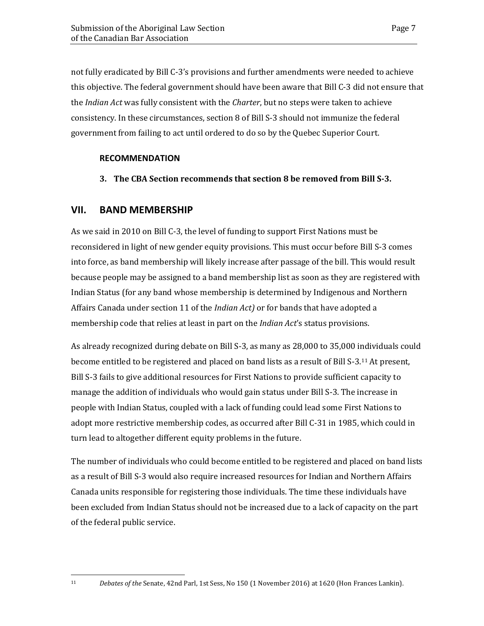not fully eradicated by Bill C-3's provisions and further amendments were needed to achieve this objective. The federal government should have been aware that Bill C-3 did not ensure that the *Indian Act* was fully consistent with the *Charter*, but no steps were taken to achieve consistency. In these circumstances, section 8 of Bill S-3 should not immunize the federal government from failing to act until ordered to do so by the Quebec Superior Court.

#### **RECOMMENDATION**

**3. The CBA Section recommends that section 8 be removed from Bill S-3.**

#### <span id="page-10-0"></span>**VII. BAND MEMBERSHIP**

As we said in 2010 on Bill C-3, the level of funding to support First Nations must be reconsidered in light of new gender equity provisions. This must occur before Bill S-3 comes into force, as band membership will likely increase after passage of the bill. This would result because people may be assigned to a band membership list as soon as they are registered with Indian Status (for any band whose membership is determined by Indigenous and Northern Affairs Canada under section 11 of the *Indian Act)* or for bands that have adopted a membership code that relies at least in part on the *Indian Act*'s status provisions.

As already recognized during debate on Bill S-3, as many as 28,000 to 35,000 individuals could become entitled to be registered and placed on band lists as a result of Bill S-3.[11](#page-10-1) At present, Bill S-3 fails to give additional resources for First Nations to provide sufficient capacity to manage the addition of individuals who would gain status under Bill S-3. The increase in people with Indian Status, coupled with a lack of funding could lead some First Nations to adopt more restrictive membership codes, as occurred after Bill C-31 in 1985, which could in turn lead to altogether different equity problems in the future.

The number of individuals who could become entitled to be registered and placed on band lists as a result of Bill S-3 would also require increased resources for Indian and Northern Affairs Canada units responsible for registering those individuals. The time these individuals have been excluded from Indian Status should not be increased due to a lack of capacity on the part of the federal public service.

<span id="page-10-1"></span> $11$ 

<sup>11</sup> *Debates of the* Senate, 42nd Parl, 1st Sess, No 150 (1 November 2016) at 1620 (Hon Frances Lankin).